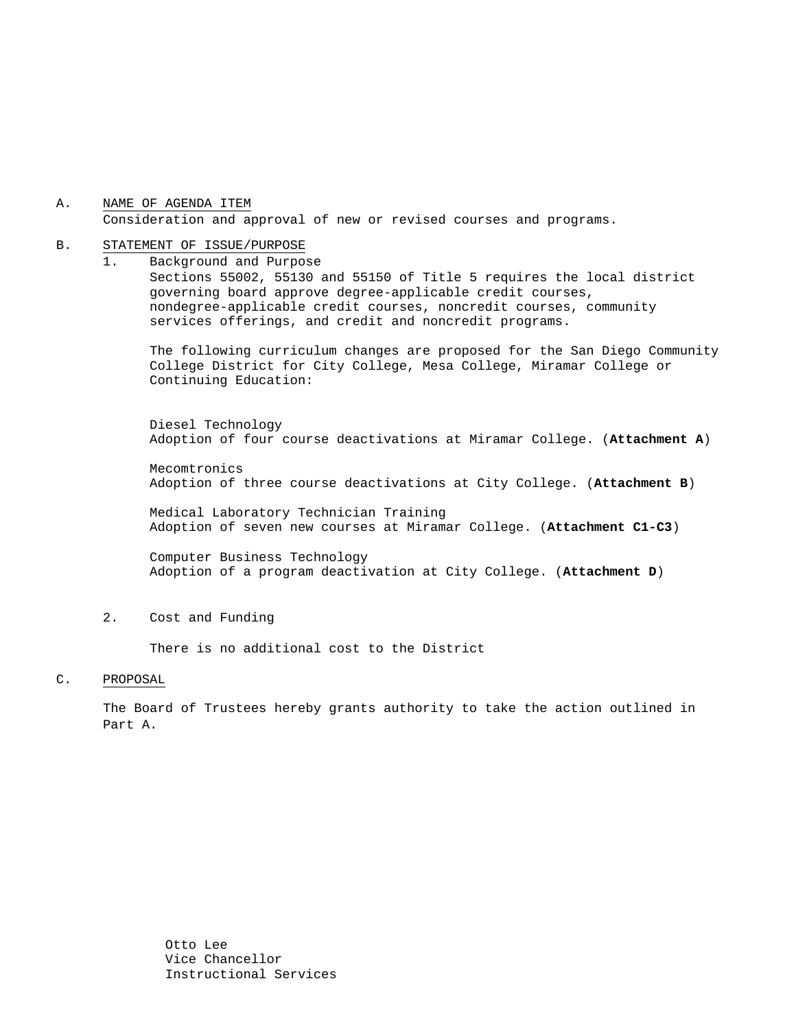### A. NAME OF AGENDA ITEM Consideration and approval of new or revised courses and programs.

#### B. STATEMENT OF ISSUE/PURPOSE

1. Background and Purpose Sections 55002, 55130 and 55150 of Title 5 requires the local district governing board approve degree-applicable credit courses, nondegree-applicable credit courses, noncredit courses, community services offerings, and credit and noncredit programs.

The following curriculum changes are proposed for the San Diego Community College District for City College, Mesa College, Miramar College or Continuing Education:

 Diesel Technology Adoption of four course deactivations at Miramar College. (**Attachment A**)

Mecomtronics Adoption of three course deactivations at City College. (**Attachment B**)

Medical Laboratory Technician Training Adoption of seven new courses at Miramar College. (**Attachment C1-C3**)

Computer Business Technology Adoption of a program deactivation at City College. (**Attachment D**)

2. Cost and Funding

There is no additional cost to the District

#### C. PROPOSAL

The Board of Trustees hereby grants authority to take the action outlined in Part A.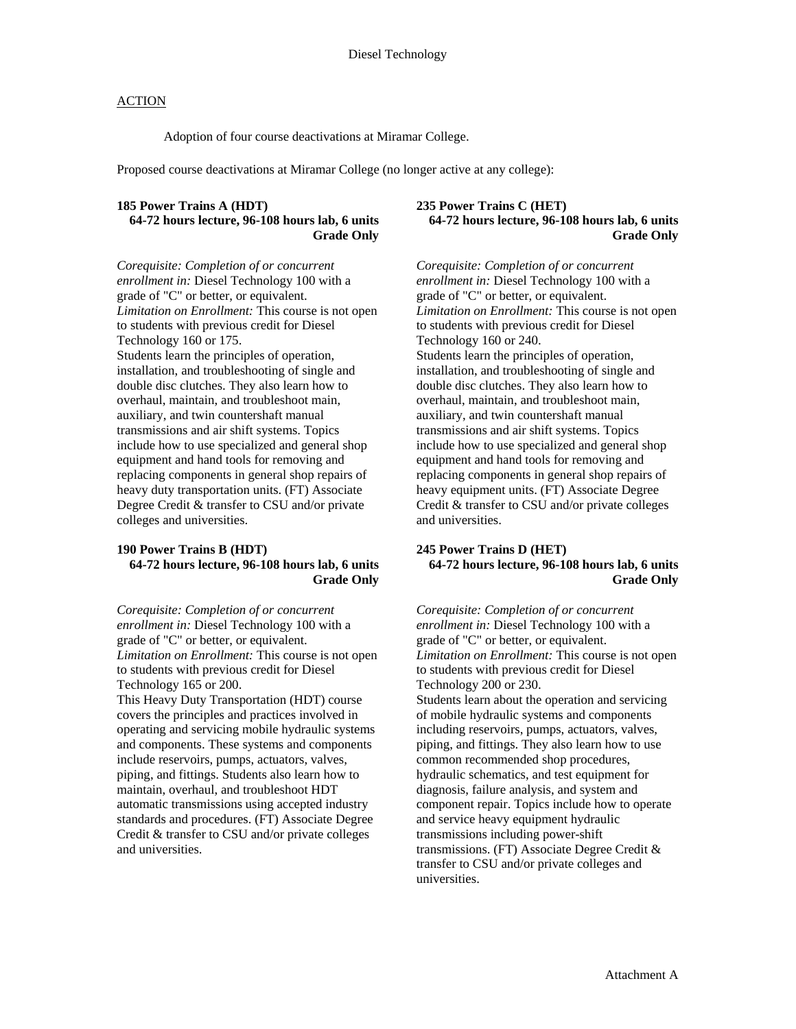Adoption of four course deactivations at Miramar College.

Proposed course deactivations at Miramar College (no longer active at any college):

# **185 Power Trains A (HDT)**

## **64-72 hours lecture, 96-108 hours lab, 6 units Grade Only**

*Corequisite: Completion of or concurrent enrollment in:* Diesel Technology 100 with a grade of "C" or better, or equivalent. *Limitation on Enrollment:* This course is not open to students with previous credit for Diesel Technology 160 or 175. Students learn the principles of operation, installation, and troubleshooting of single and double disc clutches. They also learn how to overhaul, maintain, and troubleshoot main, auxiliary, and twin countershaft manual transmissions and air shift systems. Topics include how to use specialized and general shop equipment and hand tools for removing and replacing components in general shop repairs of heavy duty transportation units. (FT) Associate Degree Credit & transfer to CSU and/or private colleges and universities.

#### **190 Power Trains B (HDT) 64-72 hours lecture, 96-108 hours lab, 6 units Grade Only**

*Corequisite: Completion of or concurrent enrollment in:* Diesel Technology 100 with a grade of "C" or better, or equivalent. *Limitation on Enrollment:* This course is not open to students with previous credit for Diesel Technology 165 or 200.

This Heavy Duty Transportation (HDT) course covers the principles and practices involved in operating and servicing mobile hydraulic systems and components. These systems and components include reservoirs, pumps, actuators, valves, piping, and fittings. Students also learn how to maintain, overhaul, and troubleshoot HDT automatic transmissions using accepted industry standards and procedures. (FT) Associate Degree Credit & transfer to CSU and/or private colleges and universities.

### **235 Power Trains C (HET) 64-72 hours lecture, 96-108 hours lab, 6 units Grade Only**

*Corequisite: Completion of or concurrent enrollment in:* Diesel Technology 100 with a grade of "C" or better, or equivalent. *Limitation on Enrollment:* This course is not open to students with previous credit for Diesel Technology 160 or 240. Students learn the principles of operation, installation, and troubleshooting of single and double disc clutches. They also learn how to overhaul, maintain, and troubleshoot main, auxiliary, and twin countershaft manual transmissions and air shift systems. Topics include how to use specialized and general shop equipment and hand tools for removing and replacing components in general shop repairs of heavy equipment units. (FT) Associate Degree Credit & transfer to CSU and/or private colleges and universities.

#### **245 Power Trains D (HET) 64-72 hours lecture, 96-108 hours lab, 6 units Grade Only**

*Corequisite: Completion of or concurrent enrollment in:* Diesel Technology 100 with a grade of "C" or better, or equivalent. *Limitation on Enrollment:* This course is not open to students with previous credit for Diesel Technology 200 or 230. Students learn about the operation and servicing of mobile hydraulic systems and components including reservoirs, pumps, actuators, valves, piping, and fittings. They also learn how to use common recommended shop procedures, hydraulic schematics, and test equipment for diagnosis, failure analysis, and system and component repair. Topics include how to operate and service heavy equipment hydraulic transmissions including power-shift transmissions. (FT) Associate Degree Credit & transfer to CSU and/or private colleges and universities.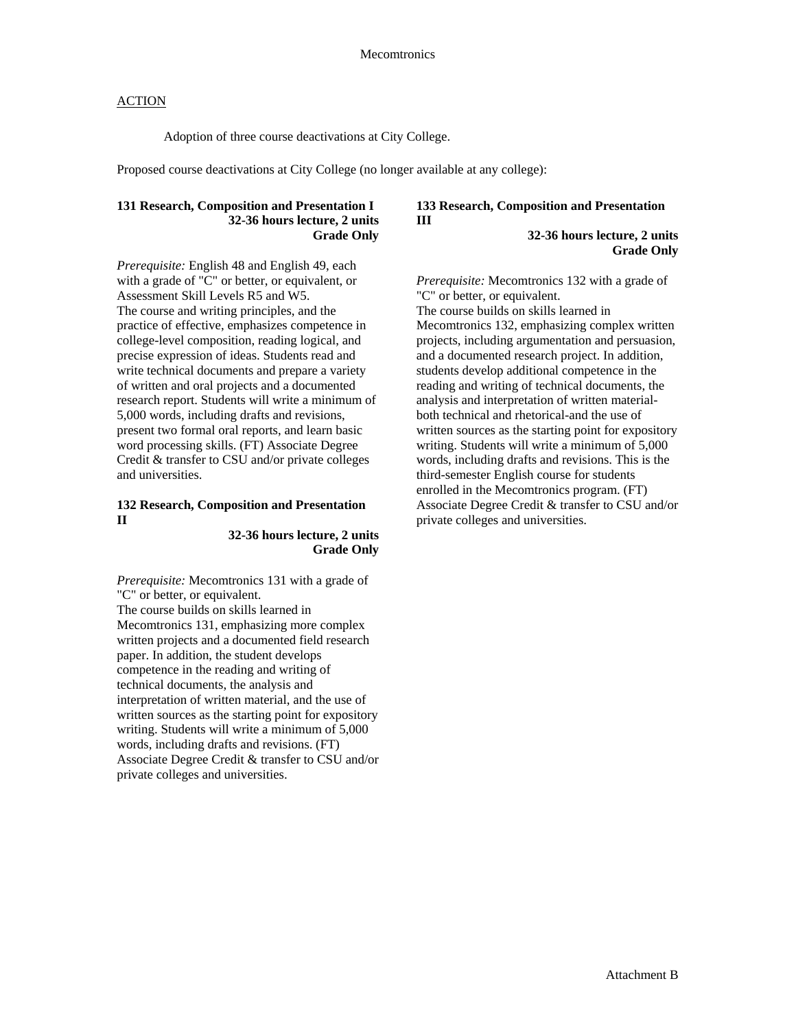Adoption of three course deactivations at City College.

Proposed course deactivations at City College (no longer available at any college):

## **131 Research, Composition and Presentation I 32-36 hours lecture, 2 units Grade Only**

*Prerequisite:* English 48 and English 49, each with a grade of "C" or better, or equivalent, or Assessment Skill Levels R5 and W5. The course and writing principles, and the practice of effective, emphasizes competence in college-level composition, reading logical, and precise expression of ideas. Students read and write technical documents and prepare a variety of written and oral projects and a documented research report. Students will write a minimum of 5,000 words, including drafts and revisions, present two formal oral reports, and learn basic word processing skills. (FT) Associate Degree Credit & transfer to CSU and/or private colleges and universities.

### **132 Research, Composition and Presentation II**

#### **32-36 hours lecture, 2 units Grade Only**

*Prerequisite:* Mecomtronics 131 with a grade of "C" or better, or equivalent. The course builds on skills learned in Mecomtronics 131, emphasizing more complex written projects and a documented field research paper. In addition, the student develops competence in the reading and writing of technical documents, the analysis and interpretation of written material, and the use of written sources as the starting point for expository writing. Students will write a minimum of 5,000 words, including drafts and revisions. (FT) Associate Degree Credit & transfer to CSU and/or private colleges and universities.

## **133 Research, Composition and Presentation III**

**32-36 hours lecture, 2 units Grade Only** 

*Prerequisite:* Mecomtronics 132 with a grade of "C" or better, or equivalent. The course builds on skills learned in Mecomtronics 132, emphasizing complex written projects, including argumentation and persuasion, and a documented research project. In addition, students develop additional competence in the reading and writing of technical documents, the analysis and interpretation of written materialboth technical and rhetorical-and the use of written sources as the starting point for expository writing. Students will write a minimum of 5,000 words, including drafts and revisions. This is the third-semester English course for students enrolled in the Mecomtronics program. (FT) Associate Degree Credit & transfer to CSU and/or private colleges and universities.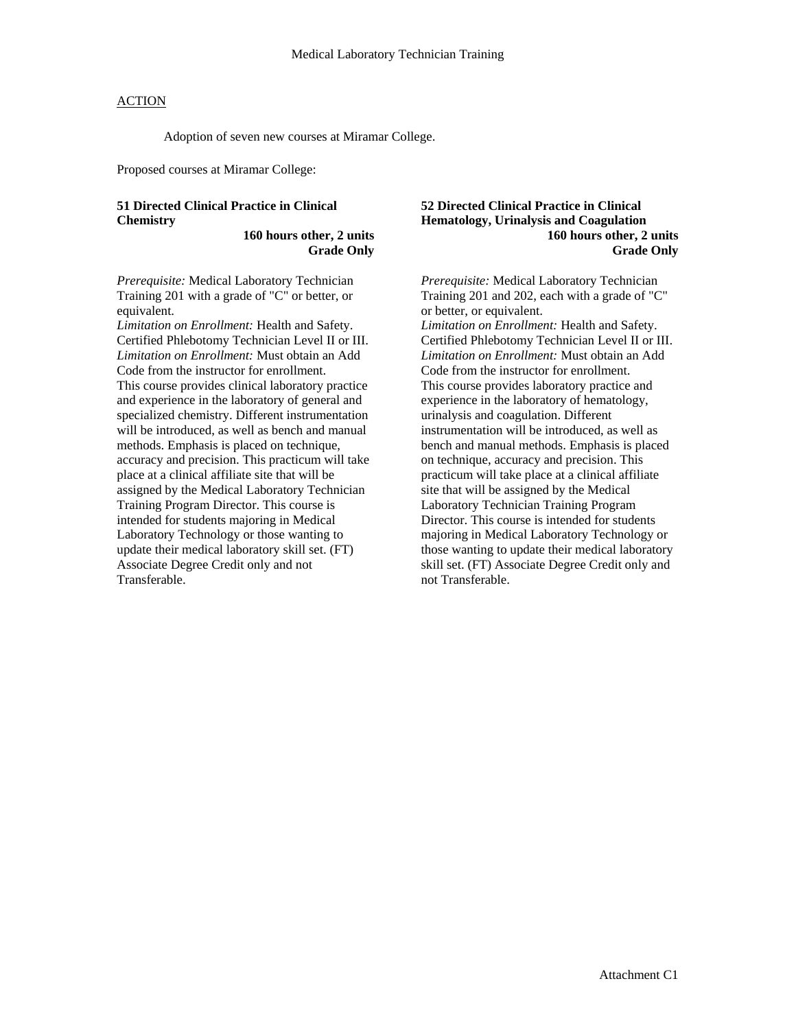Adoption of seven new courses at Miramar College.

Proposed courses at Miramar College:

## **51 Directed Clinical Practice in Clinical Chemistry**

**160 hours other, 2 units Grade Only** 

*Prerequisite:* Medical Laboratory Technician Training 201 with a grade of "C" or better, or equivalent.

*Limitation on Enrollment:* Health and Safety. Certified Phlebotomy Technician Level II or III. *Limitation on Enrollment:* Must obtain an Add Code from the instructor for enrollment. This course provides clinical laboratory practice and experience in the laboratory of general and specialized chemistry. Different instrumentation will be introduced, as well as bench and manual methods. Emphasis is placed on technique, accuracy and precision. This practicum will take place at a clinical affiliate site that will be assigned by the Medical Laboratory Technician Training Program Director. This course is intended for students majoring in Medical Laboratory Technology or those wanting to update their medical laboratory skill set. (FT) Associate Degree Credit only and not Transferable.

#### **52 Directed Clinical Practice in Clinical Hematology, Urinalysis and Coagulation 160 hours other, 2 units Grade Only**

*Prerequisite:* Medical Laboratory Technician Training 201 and 202, each with a grade of "C" or better, or equivalent.

*Limitation on Enrollment:* Health and Safety. Certified Phlebotomy Technician Level II or III. *Limitation on Enrollment:* Must obtain an Add Code from the instructor for enrollment. This course provides laboratory practice and experience in the laboratory of hematology, urinalysis and coagulation. Different instrumentation will be introduced, as well as bench and manual methods. Emphasis is placed on technique, accuracy and precision. This practicum will take place at a clinical affiliate site that will be assigned by the Medical Laboratory Technician Training Program Director. This course is intended for students majoring in Medical Laboratory Technology or those wanting to update their medical laboratory skill set. (FT) Associate Degree Credit only and not Transferable.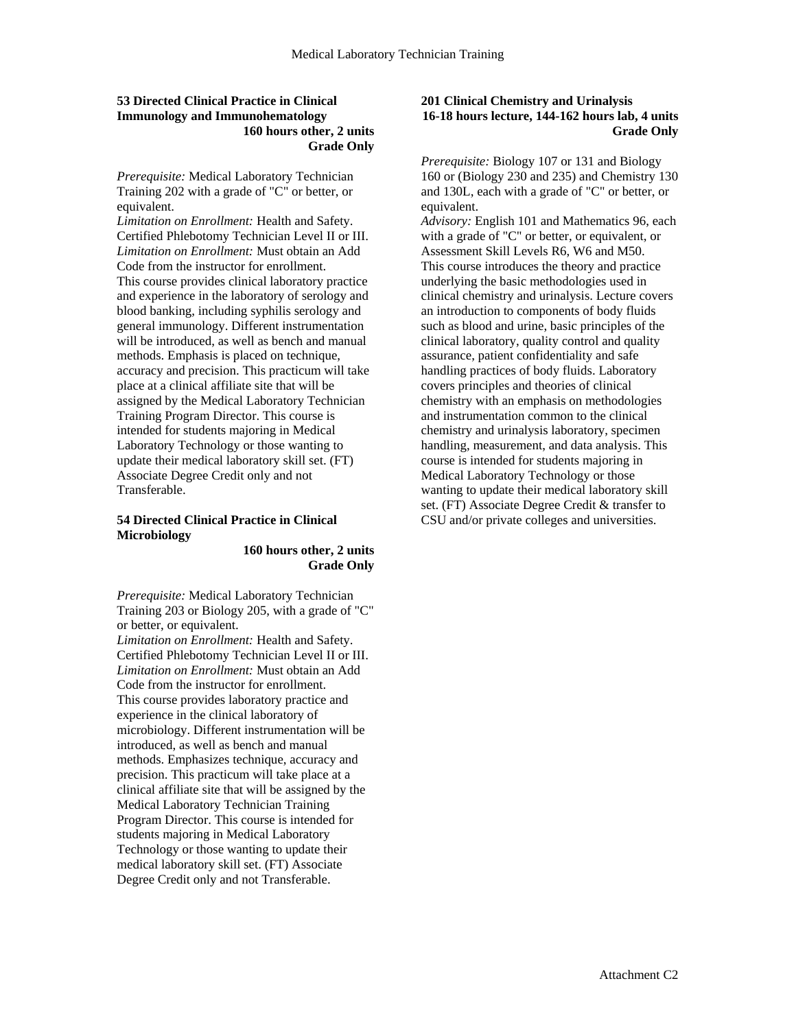### **53 Directed Clinical Practice in Clinical Immunology and Immunohematology 160 hours other, 2 units Grade Only**

*Prerequisite:* Medical Laboratory Technician Training 202 with a grade of "C" or better, or equivalent.

*Limitation on Enrollment:* Health and Safety. Certified Phlebotomy Technician Level II or III. *Limitation on Enrollment:* Must obtain an Add Code from the instructor for enrollment. This course provides clinical laboratory practice and experience in the laboratory of serology and blood banking, including syphilis serology and general immunology. Different instrumentation will be introduced, as well as bench and manual methods. Emphasis is placed on technique, accuracy and precision. This practicum will take place at a clinical affiliate site that will be assigned by the Medical Laboratory Technician Training Program Director. This course is intended for students majoring in Medical Laboratory Technology or those wanting to update their medical laboratory skill set. (FT) Associate Degree Credit only and not Transferable.

## **54 Directed Clinical Practice in Clinical Microbiology**

**160 hours other, 2 units Grade Only** 

*Prerequisite:* Medical Laboratory Technician Training 203 or Biology 205, with a grade of "C" or better, or equivalent.

*Limitation on Enrollment:* Health and Safety. Certified Phlebotomy Technician Level II or III. *Limitation on Enrollment:* Must obtain an Add Code from the instructor for enrollment. This course provides laboratory practice and experience in the clinical laboratory of microbiology. Different instrumentation will be introduced, as well as bench and manual methods. Emphasizes technique, accuracy and precision. This practicum will take place at a clinical affiliate site that will be assigned by the Medical Laboratory Technician Training Program Director. This course is intended for students majoring in Medical Laboratory Technology or those wanting to update their medical laboratory skill set. (FT) Associate Degree Credit only and not Transferable.

## **201 Clinical Chemistry and Urinalysis 16-18 hours lecture, 144-162 hours lab, 4 units Grade Only**

*Prerequisite:* Biology 107 or 131 and Biology 160 or (Biology 230 and 235) and Chemistry 130 and 130L, each with a grade of "C" or better, or equivalent.

*Advisory:* English 101 and Mathematics 96, each with a grade of "C" or better, or equivalent, or Assessment Skill Levels R6, W6 and M50. This course introduces the theory and practice underlying the basic methodologies used in clinical chemistry and urinalysis. Lecture covers an introduction to components of body fluids such as blood and urine, basic principles of the clinical laboratory, quality control and quality assurance, patient confidentiality and safe handling practices of body fluids. Laboratory covers principles and theories of clinical chemistry with an emphasis on methodologies and instrumentation common to the clinical chemistry and urinalysis laboratory, specimen handling, measurement, and data analysis. This course is intended for students majoring in Medical Laboratory Technology or those wanting to update their medical laboratory skill set. (FT) Associate Degree Credit & transfer to CSU and/or private colleges and universities.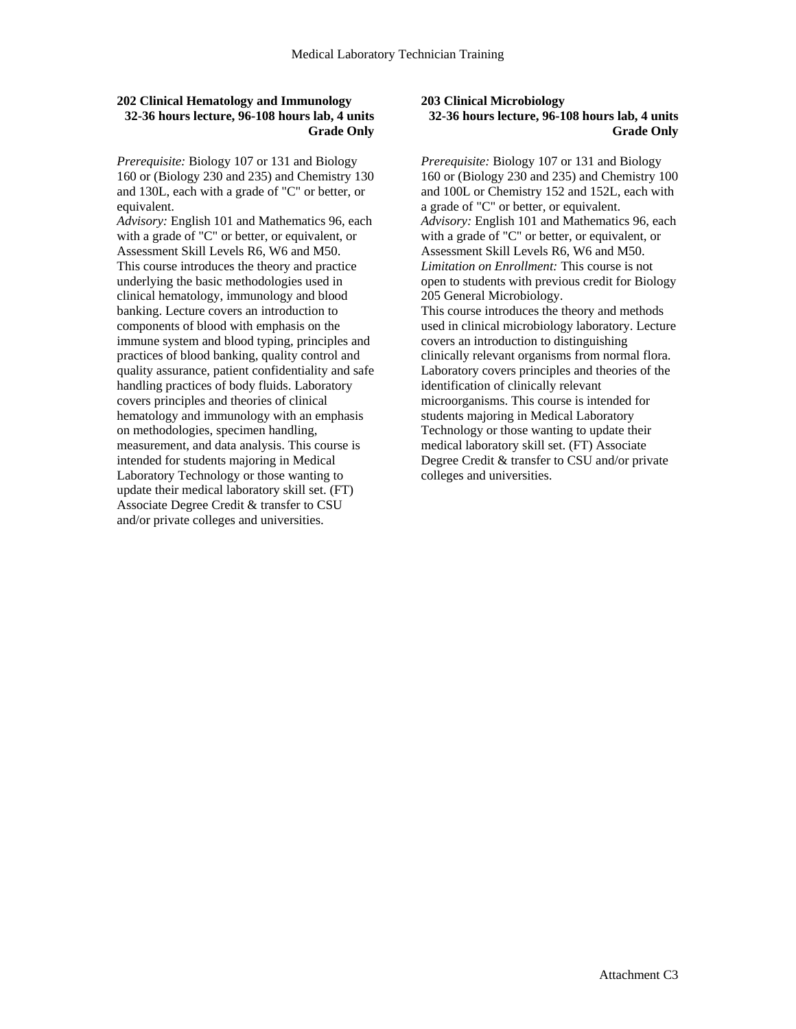## **202 Clinical Hematology and Immunology 32-36 hours lecture, 96-108 hours lab, 4 units Grade Only**

*Prerequisite:* Biology 107 or 131 and Biology 160 or (Biology 230 and 235) and Chemistry 130 and 130L, each with a grade of "C" or better, or equivalent.

*Advisory:* English 101 and Mathematics 96, each with a grade of "C" or better, or equivalent, or Assessment Skill Levels R6, W6 and M50. This course introduces the theory and practice underlying the basic methodologies used in clinical hematology, immunology and blood banking. Lecture covers an introduction to components of blood with emphasis on the immune system and blood typing, principles and practices of blood banking, quality control and quality assurance, patient confidentiality and safe handling practices of body fluids. Laboratory covers principles and theories of clinical hematology and immunology with an emphasis on methodologies, specimen handling, measurement, and data analysis. This course is intended for students majoring in Medical Laboratory Technology or those wanting to update their medical laboratory skill set. (FT) Associate Degree Credit & transfer to CSU and/or private colleges and universities.

#### **203 Clinical Microbiology 32-36 hours lecture, 96-108 hours lab, 4 units Grade Only**

*Prerequisite:* Biology 107 or 131 and Biology 160 or (Biology 230 and 235) and Chemistry 100 and 100L or Chemistry 152 and 152L, each with a grade of "C" or better, or equivalent. *Advisory:* English 101 and Mathematics 96, each with a grade of "C" or better, or equivalent, or Assessment Skill Levels R6, W6 and M50. *Limitation on Enrollment:* This course is not open to students with previous credit for Biology 205 General Microbiology. This course introduces the theory and methods used in clinical microbiology laboratory. Lecture covers an introduction to distinguishing clinically relevant organisms from normal flora. Laboratory covers principles and theories of the identification of clinically relevant microorganisms. This course is intended for students majoring in Medical Laboratory Technology or those wanting to update their medical laboratory skill set. (FT) Associate Degree Credit & transfer to CSU and/or private colleges and universities.